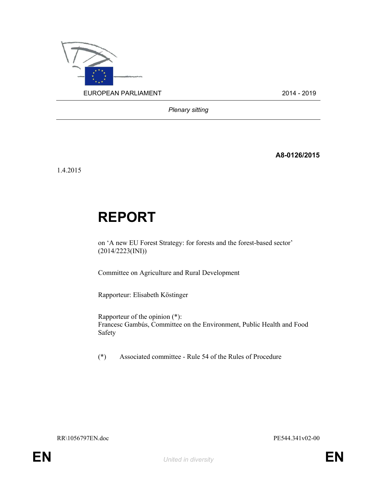

Plenary sitting

A8-0126/2015

1.4.2015

# REPORT

on 'A new EU Forest Strategy: for forests and the forest-based sector' (2014/2223(INI))

Committee on Agriculture and Rural Development

Rapporteur: Elisabeth Köstinger

Rapporteur of the opinion (\*): Francesc Gambús, Committee on the Environment, Public Health and Food Safety

(\*) Associated committee - Rule 54 of the Rules of Procedure

RR\1056797EN.doc PE544.341v02-00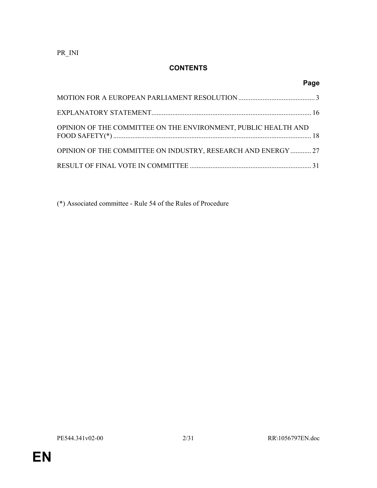PR\_INI

# **CONTENTS**

|                                                                | Page |
|----------------------------------------------------------------|------|
|                                                                |      |
|                                                                |      |
| OPINION OF THE COMMITTEE ON THE ENVIRONMENT, PUBLIC HEALTH AND |      |
| OPINION OF THE COMMITTEE ON INDUSTRY, RESEARCH AND ENERGY  27  |      |
|                                                                |      |

(\*) Associated committee - Rule 54 of the Rules of Procedure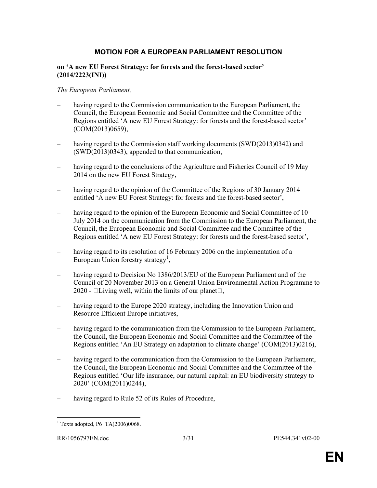## MOTION FOR A EUROPEAN PARLIAMENT RESOLUTION

#### on 'A new EU Forest Strategy: for forests and the forest-based sector' (2014/2223(INI))

#### The European Parliament,

- having regard to the Commission communication to the European Parliament, the Council, the European Economic and Social Committee and the Committee of the Regions entitled 'A new EU Forest Strategy: for forests and the forest-based sector' (COM(2013)0659),
- having regard to the Commission staff working documents (SWD(2013)0342) and (SWD(2013)0343), appended to that communication,
- having regard to the conclusions of the Agriculture and Fisheries Council of 19 May 2014 on the new EU Forest Strategy,
- having regard to the opinion of the Committee of the Regions of 30 January 2014 entitled 'A new EU Forest Strategy: for forests and the forest-based sector',
- having regard to the opinion of the European Economic and Social Committee of 10 July 2014 on the communication from the Commission to the European Parliament, the Council, the European Economic and Social Committee and the Committee of the Regions entitled 'A new EU Forest Strategy: for forests and the forest-based sector',
- having regard to its resolution of 16 February 2006 on the implementation of a European Union forestry strategy<sup>1</sup>,
- having regard to Decision No 1386/2013/EU of the European Parliament and of the Council of 20 November 2013 on a General Union Environmental Action Programme to 2020 -  $\Box$ Living well, within the limits of our planet $\Box$ ,
- having regard to the Europe 2020 strategy, including the Innovation Union and Resource Efficient Europe initiatives,
- having regard to the communication from the Commission to the European Parliament, the Council, the European Economic and Social Committee and the Committee of the Regions entitled 'An EU Strategy on adaptation to climate change' (COM(2013)0216),
- having regard to the communication from the Commission to the European Parliament, the Council, the European Economic and Social Committee and the Committee of the Regions entitled 'Our life insurance, our natural capital: an EU biodiversity strategy to 2020' (COM(2011)0244),
- having regard to Rule 52 of its Rules of Procedure,

<sup>&</sup>lt;sup>1</sup> Texts adopted, P6\_TA(2006)0068.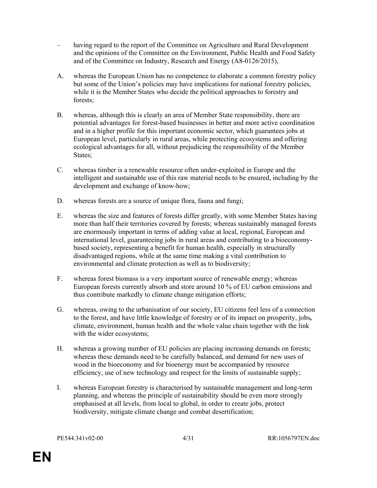- having regard to the report of the Committee on Agriculture and Rural Development and the opinions of the Committee on the Environment, Public Health and Food Safety and of the Committee on Industry, Research and Energy (A8-0126/2015),
- A. whereas the European Union has no competence to elaborate a common forestry policy but some of the Union's policies may have implications for national forestry policies, while it is the Member States who decide the political approaches to forestry and forests;
- B. whereas, although this is clearly an area of Member State responsibility, there are potential advantages for forest-based businesses in better and more active coordination and in a higher profile for this important economic sector, which guarantees jobs at European level, particularly in rural areas, while protecting ecosystems and offering ecological advantages for all, without prejudicing the responsibility of the Member States;
- C. whereas timber is a renewable resource often under-exploited in Europe and the intelligent and sustainable use of this raw material needs to be ensured, including by the development and exchange of know-how;
- D. whereas forests are a source of unique flora, fauna and fungi;
- E. whereas the size and features of forests differ greatly, with some Member States having more than half their territories covered by forests; whereas sustainably managed forests are enormously important in terms of adding value at local, regional, European and international level, guaranteeing jobs in rural areas and contributing to a bioeconomybased society, representing a benefit for human health, especially in structurally disadvantaged regions, while at the same time making a vital contribution to environmental and climate protection as well as to biodiversity;
- F. whereas forest biomass is a very important source of renewable energy; whereas European forests currently absorb and store around 10 % of EU carbon emissions and thus contribute markedly to climate change mitigation efforts;
- G. whereas, owing to the urbanisation of our society, EU citizens feel less of a connection to the forest, and have little knowledge of forestry or of its impact on prosperity, jobs, climate, environment, human health and the whole value chain together with the link with the wider ecosystems;
- H. whereas a growing number of EU policies are placing increasing demands on forests; whereas these demands need to be carefully balanced, and demand for new uses of wood in the bioeconomy and for bioenergy must be accompanied by resource efficiency, use of new technology and respect for the limits of sustainable supply;
- I. whereas European forestry is characterised by sustainable management and long-term planning, and whereas the principle of sustainability should be even more strongly emphasised at all levels, from local to global, in order to create jobs, protect biodiversity, mitigate climate change and combat desertification;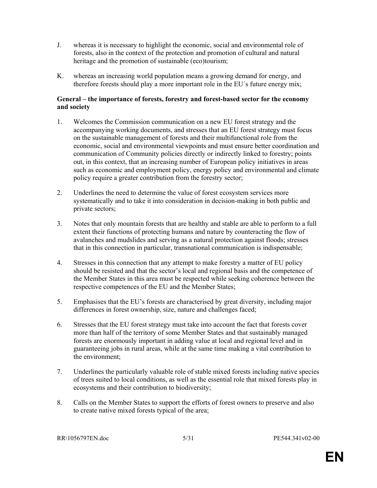- J. whereas it is necessary to highlight the economic, social and environmental role of forests, also in the context of the protection and promotion of cultural and natural heritage and the promotion of sustainable (eco)tourism;
- K. whereas an increasing world population means a growing demand for energy, and therefore forests should play a more important role in the EU´s future energy mix;

## General – the importance of forests, forestry and forest-based sector for the economy and society

- 1. Welcomes the Commission communication on a new EU forest strategy and the accompanying working documents, and stresses that an EU forest strategy must focus on the sustainable management of forests and their multifunctional role from the economic, social and environmental viewpoints and must ensure better coordination and communication of Community policies directly or indirectly linked to forestry; points out, in this context, that an increasing number of European policy initiatives in areas such as economic and employment policy, energy policy and environmental and climate policy require a greater contribution from the forestry sector;
- 2. Underlines the need to determine the value of forest ecosystem services more systematically and to take it into consideration in decision-making in both public and private sectors;
- 3. Notes that only mountain forests that are healthy and stable are able to perform to a full extent their functions of protecting humans and nature by counteracting the flow of avalanches and mudslides and serving as a natural protection against floods; stresses that in this connection in particular, transnational communication is indispensable;
- 4. Stresses in this connection that any attempt to make forestry a matter of EU policy should be resisted and that the sector's local and regional basis and the competence of the Member States in this area must be respected while seeking coherence between the respective competences of the EU and the Member States;
- 5. Emphasises that the EU's forests are characterised by great diversity, including major differences in forest ownership, size, nature and challenges faced;
- 6. Stresses that the EU forest strategy must take into account the fact that forests cover more than half of the territory of some Member States and that sustainably managed forests are enormously important in adding value at local and regional level and in guaranteeing jobs in rural areas, while at the same time making a vital contribution to the environment;
- 7. Underlines the particularly valuable role of stable mixed forests including native species of trees suited to local conditions, as well as the essential role that mixed forests play in ecosystems and their contribution to biodiversity;
- 8. Calls on the Member States to support the efforts of forest owners to preserve and also to create native mixed forests typical of the area;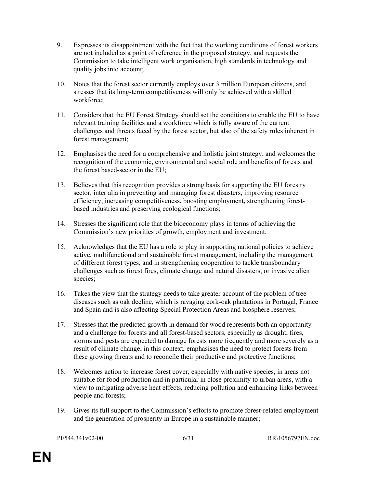- 9. Expresses its disappointment with the fact that the working conditions of forest workers are not included as a point of reference in the proposed strategy, and requests the Commission to take intelligent work organisation, high standards in technology and quality jobs into account;
- 10. Notes that the forest sector currently employs over 3 million European citizens, and stresses that its long-term competitiveness will only be achieved with a skilled workforce;
- 11. Considers that the EU Forest Strategy should set the conditions to enable the EU to have relevant training facilities and a workforce which is fully aware of the current challenges and threats faced by the forest sector, but also of the safety rules inherent in forest management;
- 12. Emphasises the need for a comprehensive and holistic joint strategy, and welcomes the recognition of the economic, environmental and social role and benefits of forests and the forest based-sector in the EU;
- 13. Believes that this recognition provides a strong basis for supporting the EU forestry sector, inter alia in preventing and managing forest disasters, improving resource efficiency, increasing competitiveness, boosting employment, strengthening forestbased industries and preserving ecological functions;
- 14. Stresses the significant role that the bioeconomy plays in terms of achieving the Commission's new priorities of growth, employment and investment;
- 15. Acknowledges that the EU has a role to play in supporting national policies to achieve active, multifunctional and sustainable forest management, including the management of different forest types, and in strengthening cooperation to tackle transboundary challenges such as forest fires, climate change and natural disasters, or invasive alien species;
- 16. Takes the view that the strategy needs to take greater account of the problem of tree diseases such as oak decline, which is ravaging cork-oak plantations in Portugal, France and Spain and is also affecting Special Protection Areas and biosphere reserves;
- 17. Stresses that the predicted growth in demand for wood represents both an opportunity and a challenge for forests and all forest-based sectors, especially as drought, fires, storms and pests are expected to damage forests more frequently and more severely as a result of climate change; in this context, emphasises the need to protect forests from these growing threats and to reconcile their productive and protective functions;
- 18. Welcomes action to increase forest cover, especially with native species, in areas not suitable for food production and in particular in close proximity to urban areas, with a view to mitigating adverse heat effects, reducing pollution and enhancing links between people and forests;
- 19. Gives its full support to the Commission's efforts to promote forest-related employment and the generation of prosperity in Europe in a sustainable manner;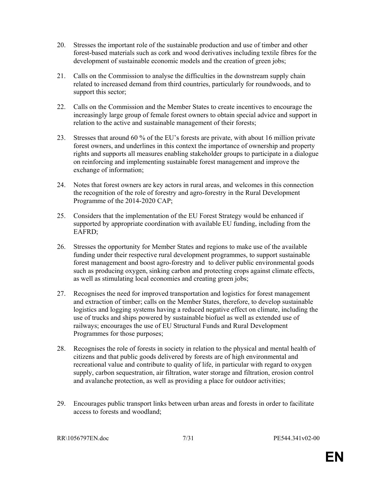- 20. Stresses the important role of the sustainable production and use of timber and other forest-based materials such as cork and wood derivatives including textile fibres for the development of sustainable economic models and the creation of green jobs;
- 21. Calls on the Commission to analyse the difficulties in the downstream supply chain related to increased demand from third countries, particularly for roundwoods, and to support this sector;
- 22. Calls on the Commission and the Member States to create incentives to encourage the increasingly large group of female forest owners to obtain special advice and support in relation to the active and sustainable management of their forests;
- 23. Stresses that around 60 % of the EU's forests are private, with about 16 million private forest owners, and underlines in this context the importance of ownership and property rights and supports all measures enabling stakeholder groups to participate in a dialogue on reinforcing and implementing sustainable forest management and improve the exchange of information;
- 24. Notes that forest owners are key actors in rural areas, and welcomes in this connection the recognition of the role of forestry and agro-forestry in the Rural Development Programme of the 2014-2020 CAP;
- 25. Considers that the implementation of the EU Forest Strategy would be enhanced if supported by appropriate coordination with available EU funding, including from the EAFRD;
- 26. Stresses the opportunity for Member States and regions to make use of the available funding under their respective rural development programmes, to support sustainable forest management and boost agro-forestry and to deliver public environmental goods such as producing oxygen, sinking carbon and protecting crops against climate effects, as well as stimulating local economies and creating green jobs;
- 27. Recognises the need for improved transportation and logistics for forest management and extraction of timber; calls on the Member States, therefore, to develop sustainable logistics and logging systems having a reduced negative effect on climate, including the use of trucks and ships powered by sustainable biofuel as well as extended use of railways; encourages the use of EU Structural Funds and Rural Development Programmes for those purposes;
- 28. Recognises the role of forests in society in relation to the physical and mental health of citizens and that public goods delivered by forests are of high environmental and recreational value and contribute to quality of life, in particular with regard to oxygen supply, carbon sequestration, air filtration, water storage and filtration, erosion control and avalanche protection, as well as providing a place for outdoor activities;
- 29. Encourages public transport links between urban areas and forests in order to facilitate access to forests and woodland;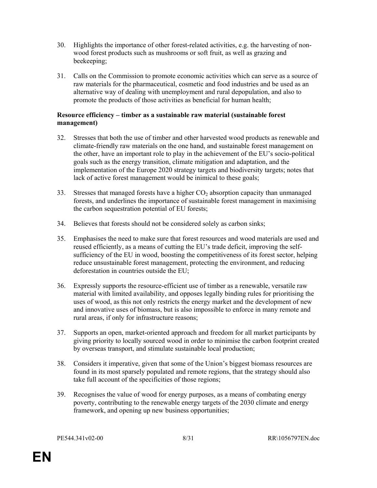- 30. Highlights the importance of other forest-related activities, e.g. the harvesting of nonwood forest products such as mushrooms or soft fruit, as well as grazing and beekeeping;
- 31. Calls on the Commission to promote economic activities which can serve as a source of raw materials for the pharmaceutical, cosmetic and food industries and be used as an alternative way of dealing with unemployment and rural depopulation, and also to promote the products of those activities as beneficial for human health;

## Resource efficiency – timber as a sustainable raw material (sustainable forest management)

- 32. Stresses that both the use of timber and other harvested wood products as renewable and climate-friendly raw materials on the one hand, and sustainable forest management on the other, have an important role to play in the achievement of the EU's socio-political goals such as the energy transition, climate mitigation and adaptation, and the implementation of the Europe 2020 strategy targets and biodiversity targets; notes that lack of active forest management would be inimical to these goals;
- 33. Stresses that managed forests have a higher  $CO<sub>2</sub>$  absorption capacity than unmanaged forests, and underlines the importance of sustainable forest management in maximising the carbon sequestration potential of EU forests;
- 34. Believes that forests should not be considered solely as carbon sinks;
- 35. Emphasises the need to make sure that forest resources and wood materials are used and reused efficiently, as a means of cutting the EU's trade deficit, improving the selfsufficiency of the EU in wood, boosting the competitiveness of its forest sector, helping reduce unsustainable forest management, protecting the environment, and reducing deforestation in countries outside the EU;
- 36. Expressly supports the resource-efficient use of timber as a renewable, versatile raw material with limited availability, and opposes legally binding rules for prioritising the uses of wood, as this not only restricts the energy market and the development of new and innovative uses of biomass, but is also impossible to enforce in many remote and rural areas, if only for infrastructure reasons;
- 37. Supports an open, market-oriented approach and freedom for all market participants by giving priority to locally sourced wood in order to minimise the carbon footprint created by overseas transport, and stimulate sustainable local production;
- 38. Considers it imperative, given that some of the Union's biggest biomass resources are found in its most sparsely populated and remote regions, that the strategy should also take full account of the specificities of those regions;
- 39. Recognises the value of wood for energy purposes, as a means of combating energy poverty, contributing to the renewable energy targets of the 2030 climate and energy framework, and opening up new business opportunities;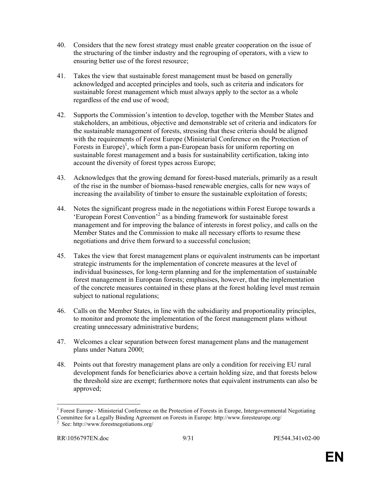- 40. Considers that the new forest strategy must enable greater cooperation on the issue of the structuring of the timber industry and the regrouping of operators, with a view to ensuring better use of the forest resource;
- 41. Takes the view that sustainable forest management must be based on generally acknowledged and accepted principles and tools, such as criteria and indicators for sustainable forest management which must always apply to the sector as a whole regardless of the end use of wood;
- 42. Supports the Commission's intention to develop, together with the Member States and stakeholders, an ambitious, objective and demonstrable set of criteria and indicators for the sustainable management of forests, stressing that these criteria should be aligned with the requirements of Forest Europe (Ministerial Conference on the Protection of Forests in Europe)<sup>1</sup>, which form a pan-European basis for uniform reporting on sustainable forest management and a basis for sustainability certification, taking into account the diversity of forest types across Europe;
- 43. Acknowledges that the growing demand for forest-based materials, primarily as a result of the rise in the number of biomass-based renewable energies, calls for new ways of increasing the availability of timber to ensure the sustainable exploitation of forests;
- 44. Notes the significant progress made in the negotiations within Forest Europe towards a 'European Forest Convention'<sup>2</sup> as a binding framework for sustainable forest management and for improving the balance of interests in forest policy, and calls on the Member States and the Commission to make all necessary efforts to resume these negotiations and drive them forward to a successful conclusion;
- 45. Takes the view that forest management plans or equivalent instruments can be important strategic instruments for the implementation of concrete measures at the level of individual businesses, for long-term planning and for the implementation of sustainable forest management in European forests; emphasises, however, that the implementation of the concrete measures contained in these plans at the forest holding level must remain subject to national regulations;
- 46. Calls on the Member States, in line with the subsidiarity and proportionality principles, to monitor and promote the implementation of the forest management plans without creating unnecessary administrative burdens;
- 47. Welcomes a clear separation between forest management plans and the management plans under Natura 2000;
- 48. Points out that forestry management plans are only a condition for receiving EU rural development funds for beneficiaries above a certain holding size, and that forests below the threshold size are exempt; furthermore notes that equivalent instruments can also be approved;

<sup>&</sup>lt;sup>1</sup> Forest Europe - Ministerial Conference on the Protection of Forests in Europe, Intergovernmental Negotiating Committee for a Legally Binding Agreement on Forests in Europe: http://www.foresteurope.org/

<sup>2</sup> See: http://www.forestnegotiations.org/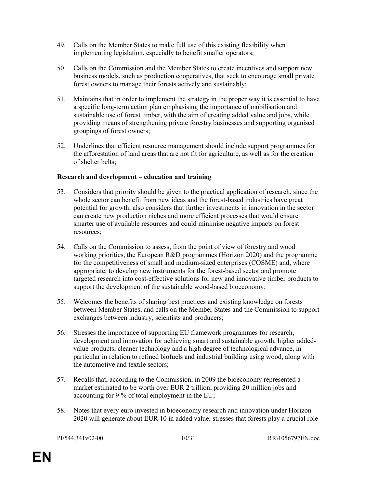- 49. Calls on the Member States to make full use of this existing flexibility when implementing legislation, especially to benefit smaller operators;
- 50. Calls on the Commission and the Member States to create incentives and support new business models, such as production cooperatives, that seek to encourage small private forest owners to manage their forests actively and sustainably;
- 51. Maintains that in order to implement the strategy in the proper way it is essential to have a specific long-term action plan emphasising the importance of mobilisation and sustainable use of forest timber, with the aim of creating added value and jobs, while providing means of strengthening private forestry businesses and supporting organised groupings of forest owners;
- 52. Underlines that efficient resource management should include support programmes for the afforestation of land areas that are not fit for agriculture, as well as for the creation of shelter belts;

## Research and development – education and training

- 53. Considers that priority should be given to the practical application of research, since the whole sector can benefit from new ideas and the forest-based industries have great potential for growth; also considers that further investments in innovation in the sector can create new production niches and more efficient processes that would ensure smarter use of available resources and could minimise negative impacts on forest resources;
- 54. Calls on the Commission to assess, from the point of view of forestry and wood working priorities, the European R&D programmes (Horizon 2020) and the programme for the competitiveness of small and medium-sized enterprises (COSME) and, where appropriate, to develop new instruments for the forest-based sector and promote targeted research into cost-effective solutions for new and innovative timber products to support the development of the sustainable wood-based bioeconomy;
- 55. Welcomes the benefits of sharing best practices and existing knowledge on forests between Member States, and calls on the Member States and the Commission to support exchanges between industry, scientists and producers;
- 56. Stresses the importance of supporting EU framework programmes for research, development and innovation for achieving smart and sustainable growth, higher addedvalue products, cleaner technology and a high degree of technological advance, in particular in relation to refined biofuels and industrial building using wood, along with the automotive and textile sectors;
- 57. Recalls that, according to the Commission, in 2009 the bioeconomy represented a market estimated to be worth over EUR 2 trillion, providing 20 million jobs and accounting for 9 % of total employment in the EU;
- 58. Notes that every euro invested in bioeconomy research and innovation under Horizon 2020 will generate about EUR 10 in added value; stresses that forests play a crucial role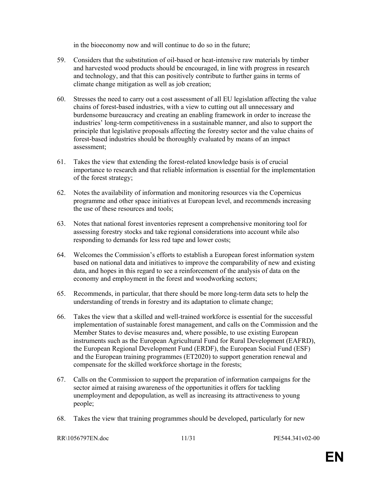in the bioeconomy now and will continue to do so in the future;

- 59. Considers that the substitution of oil-based or heat-intensive raw materials by timber and harvested wood products should be encouraged, in line with progress in research and technology, and that this can positively contribute to further gains in terms of climate change mitigation as well as job creation;
- 60. Stresses the need to carry out a cost assessment of all EU legislation affecting the value chains of forest-based industries, with a view to cutting out all unnecessary and burdensome bureaucracy and creating an enabling framework in order to increase the industries' long-term competitiveness in a sustainable manner, and also to support the principle that legislative proposals affecting the forestry sector and the value chains of forest-based industries should be thoroughly evaluated by means of an impact assessment;
- 61. Takes the view that extending the forest-related knowledge basis is of crucial importance to research and that reliable information is essential for the implementation of the forest strategy;
- 62. Notes the availability of information and monitoring resources via the Copernicus programme and other space initiatives at European level, and recommends increasing the use of these resources and tools;
- 63. Notes that national forest inventories represent a comprehensive monitoring tool for assessing forestry stocks and take regional considerations into account while also responding to demands for less red tape and lower costs;
- 64. Welcomes the Commission's efforts to establish a European forest information system based on national data and initiatives to improve the comparability of new and existing data, and hopes in this regard to see a reinforcement of the analysis of data on the economy and employment in the forest and woodworking sectors;
- 65. Recommends, in particular, that there should be more long-term data sets to help the understanding of trends in forestry and its adaptation to climate change;
- 66. Takes the view that a skilled and well-trained workforce is essential for the successful implementation of sustainable forest management, and calls on the Commission and the Member States to devise measures and, where possible, to use existing European instruments such as the European Agricultural Fund for Rural Development (EAFRD), the European Regional Development Fund (ERDF), the European Social Fund (ESF) and the European training programmes (ET2020) to support generation renewal and compensate for the skilled workforce shortage in the forests;
- 67. Calls on the Commission to support the preparation of information campaigns for the sector aimed at raising awareness of the opportunities it offers for tackling unemployment and depopulation, as well as increasing its attractiveness to young people;
- 68. Takes the view that training programmes should be developed, particularly for new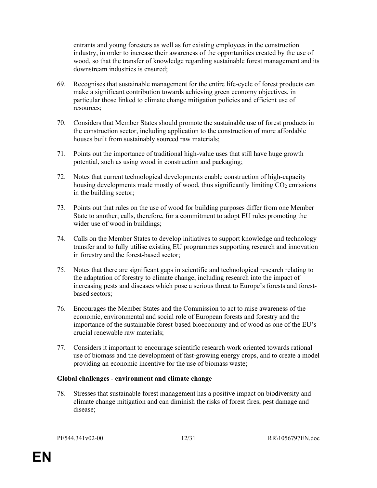entrants and young foresters as well as for existing employees in the construction industry, in order to increase their awareness of the opportunities created by the use of wood, so that the transfer of knowledge regarding sustainable forest management and its downstream industries is ensured;

- 69. Recognises that sustainable management for the entire life-cycle of forest products can make a significant contribution towards achieving green economy objectives, in particular those linked to climate change mitigation policies and efficient use of resources;
- 70. Considers that Member States should promote the sustainable use of forest products in the construction sector, including application to the construction of more affordable houses built from sustainably sourced raw materials;
- 71. Points out the importance of traditional high-value uses that still have huge growth potential, such as using wood in construction and packaging;
- 72. Notes that current technological developments enable construction of high-capacity housing developments made mostly of wood, thus significantly limiting  $CO<sub>2</sub>$  emissions in the building sector;
- 73. Points out that rules on the use of wood for building purposes differ from one Member State to another; calls, therefore, for a commitment to adopt EU rules promoting the wider use of wood in buildings;
- 74. Calls on the Member States to develop initiatives to support knowledge and technology transfer and to fully utilise existing EU programmes supporting research and innovation in forestry and the forest-based sector;
- 75. Notes that there are significant gaps in scientific and technological research relating to the adaptation of forestry to climate change, including research into the impact of increasing pests and diseases which pose a serious threat to Europe's forests and forestbased sectors;
- 76. Encourages the Member States and the Commission to act to raise awareness of the economic, environmental and social role of European forests and forestry and the importance of the sustainable forest-based bioeconomy and of wood as one of the EU's crucial renewable raw materials;
- 77. Considers it important to encourage scientific research work oriented towards rational use of biomass and the development of fast-growing energy crops, and to create a model providing an economic incentive for the use of biomass waste;

## Global challenges - environment and climate change

78. Stresses that sustainable forest management has a positive impact on biodiversity and climate change mitigation and can diminish the risks of forest fires, pest damage and disease;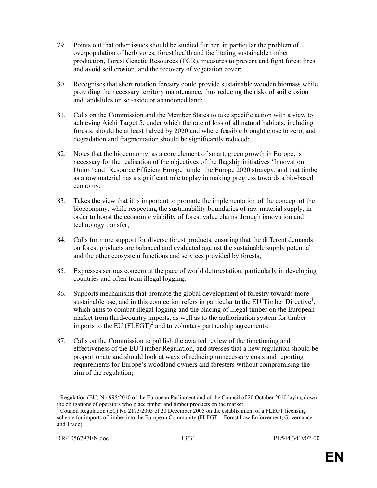- 79. Points out that other issues should be studied further, in particular the problem of overpopulation of herbivores, forest health and facilitating sustainable timber production, Forest Genetic Resources (FGR), measures to prevent and fight forest fires and avoid soil erosion, and the recovery of vegetation cover;
- 80. Recognises that short rotation forestry could provide sustainable wooden biomass while providing the necessary territory maintenance, thus reducing the risks of soil erosion and landslides on set-aside or abandoned land;
- 81. Calls on the Commission and the Member States to take specific action with a view to achieving Aichi Target 5, under which the rate of loss of all natural habitats, including forests, should be at least halved by 2020 and where feasible brought close to zero, and degradation and fragmentation should be significantly reduced;
- 82. Notes that the bioeconomy, as a core element of smart, green growth in Europe, is necessary for the realisation of the objectives of the flagship initiatives 'Innovation Union' and 'Resource Efficient Europe' under the Europe 2020 strategy, and that timber as a raw material has a significant role to play in making progress towards a bio-based economy;
- 83. Takes the view that it is important to promote the implementation of the concept of the bioeconomy, while respecting the sustainability boundaries of raw material supply, in order to boost the economic viability of forest value chains through innovation and technology transfer;
- 84. Calls for more support for diverse forest products, ensuring that the different demands on forest products are balanced and evaluated against the sustainable supply potential and the other ecosystem functions and services provided by forests;
- 85. Expresses serious concern at the pace of world deforestation, particularly in developing countries and often from illegal logging;
- 86. Supports mechanisms that promote the global development of forestry towards more sustainable use, and in this connection refers in particular to the EU Timber Directive<sup>1</sup>, which aims to combat illegal logging and the placing of illegal timber on the European market from third-country imports, as well as to the authorisation system for timber imports to the EU (FLEGT)<sup>2</sup> and to voluntary partnership agreements;
- 87. Calls on the Commission to publish the awaited review of the functioning and effectiveness of the EU Timber Regulation, and stresses that a new regulation should be proportionate and should look at ways of reducing unnecessary costs and reporting requirements for Europe's woodland owners and foresters without compromising the aim of the regulation;

<sup>&</sup>lt;sup>1</sup> Regulation (EU) No 995/2010 of the European Parliament and of the Council of 20 October 2010 laying down the obligations of operators who place timber and timber products on the market.

<sup>&</sup>lt;sup>2</sup> Council Regulation (EC) No 2173/2005 of 20 December 2005 on the establishment of a FLEGT licensing scheme for imports of timber into the European Community (FLEGT = Forest Law Enforcement, Governance and Trade).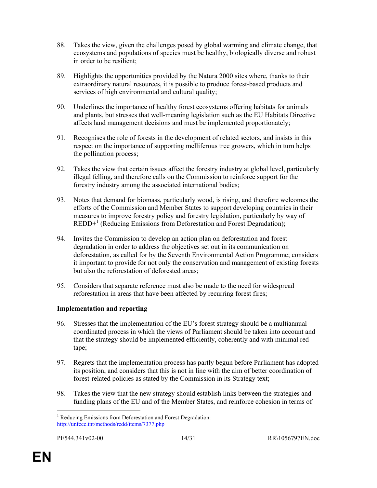- 88. Takes the view, given the challenges posed by global warming and climate change, that ecosystems and populations of species must be healthy, biologically diverse and robust in order to be resilient;
- 89. Highlights the opportunities provided by the Natura 2000 sites where, thanks to their extraordinary natural resources, it is possible to produce forest-based products and services of high environmental and cultural quality;
- 90. Underlines the importance of healthy forest ecosystems offering habitats for animals and plants, but stresses that well-meaning legislation such as the EU Habitats Directive affects land management decisions and must be implemented proportionately;
- 91. Recognises the role of forests in the development of related sectors, and insists in this respect on the importance of supporting melliferous tree growers, which in turn helps the pollination process;
- 92. Takes the view that certain issues affect the forestry industry at global level, particularly illegal felling, and therefore calls on the Commission to reinforce support for the forestry industry among the associated international bodies;
- 93. Notes that demand for biomass, particularly wood, is rising, and therefore welcomes the efforts of the Commission and Member States to support developing countries in their measures to improve forestry policy and forestry legislation, particularly by way of REDD+<sup>1</sup> (Reducing Emissions from Deforestation and Forest Degradation);
- 94. Invites the Commission to develop an action plan on deforestation and forest degradation in order to address the objectives set out in its communication on deforestation, as called for by the Seventh Environmental Action Programme; considers it important to provide for not only the conservation and management of existing forests but also the reforestation of deforested areas;
- 95. Considers that separate reference must also be made to the need for widespread reforestation in areas that have been affected by recurring forest fires;

## Implementation and reporting

- 96. Stresses that the implementation of the EU's forest strategy should be a multiannual coordinated process in which the views of Parliament should be taken into account and that the strategy should be implemented efficiently, coherently and with minimal red tape;
- 97. Regrets that the implementation process has partly begun before Parliament has adopted its position, and considers that this is not in line with the aim of better coordination of forest-related policies as stated by the Commission in its Strategy text;
- 98. Takes the view that the new strategy should establish links between the strategies and funding plans of the EU and of the Member States, and reinforce cohesion in terms of

 $\ddot{\phantom{a}}$ <sup>1</sup> Reducing Emissions from Deforestation and Forest Degradation: http://unfccc.int/methods/redd/items/7377.php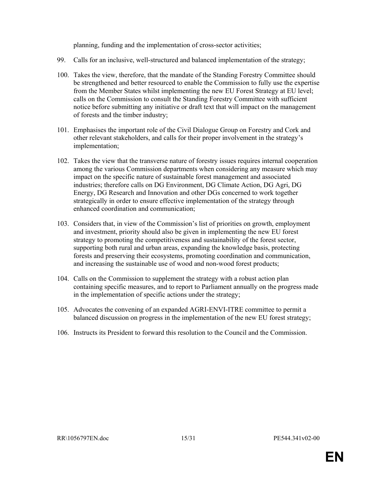planning, funding and the implementation of cross-sector activities;

- 99. Calls for an inclusive, well-structured and balanced implementation of the strategy;
- 100. Takes the view, therefore, that the mandate of the Standing Forestry Committee should be strengthened and better resourced to enable the Commission to fully use the expertise from the Member States whilst implementing the new EU Forest Strategy at EU level; calls on the Commission to consult the Standing Forestry Committee with sufficient notice before submitting any initiative or draft text that will impact on the management of forests and the timber industry;
- 101. Emphasises the important role of the Civil Dialogue Group on Forestry and Cork and other relevant stakeholders, and calls for their proper involvement in the strategy's implementation;
- 102. Takes the view that the transverse nature of forestry issues requires internal cooperation among the various Commission departments when considering any measure which may impact on the specific nature of sustainable forest management and associated industries; therefore calls on DG Environment, DG Climate Action, DG Agri, DG Energy, DG Research and Innovation and other DGs concerned to work together strategically in order to ensure effective implementation of the strategy through enhanced coordination and communication;
- 103. Considers that, in view of the Commission's list of priorities on growth, employment and investment, priority should also be given in implementing the new EU forest strategy to promoting the competitiveness and sustainability of the forest sector, supporting both rural and urban areas, expanding the knowledge basis, protecting forests and preserving their ecosystems, promoting coordination and communication, and increasing the sustainable use of wood and non-wood forest products;
- 104. Calls on the Commission to supplement the strategy with a robust action plan containing specific measures, and to report to Parliament annually on the progress made in the implementation of specific actions under the strategy;
- 105. Advocates the convening of an expanded AGRI-ENVI-ITRE committee to permit a balanced discussion on progress in the implementation of the new EU forest strategy;
- 106. Instructs its President to forward this resolution to the Council and the Commission.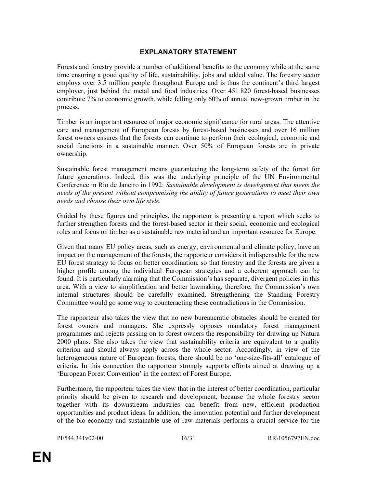# EXPLANATORY STATEMENT

Forests and forestry provide a number of additional benefits to the economy while at the same time ensuring a good quality of life, sustainability, jobs and added value. The forestry sector employs over 3.5 million people throughout Europe and is thus the continent's third largest employer, just behind the metal and food industries. Over 451 820 forest-based businesses contribute 7% to economic growth, while felling only 60% of annual new-grown timber in the process.

Timber is an important resource of major economic significance for rural areas. The attentive care and management of European forests by forest-based businesses and over 16 million forest owners ensures that the forests can continue to perform their ecological, economic and social functions in a sustainable manner. Over 50% of European forests are in private ownership.

Sustainable forest management means guaranteeing the long-term safety of the forest for future generations. Indeed, this was the underlying principle of the UN Environmental Conference in Rio de Janeiro in 1992: Sustainable development is development that meets the needs of the present without compromising the ability of future generations to meet their own needs and choose their own life style.

Guided by these figures and principles, the rapporteur is presenting a report which seeks to further strengthen forests and the forest-based sector in their social, economic and ecological roles and focus on timber as a sustainable raw material and an important resource for Europe.

Given that many EU policy areas, such as energy, environmental and climate policy, have an impact on the management of the forests, the rapporteur considers it indispensable for the new EU forest strategy to focus on better coordination, so that forestry and the forests are given a higher profile among the individual European strategies and a coherent approach can be found. It is particularly alarming that the Commission's has separate, divergent policies in this area. With a view to simplification and better lawmaking, therefore, the Commission's own internal structures should be carefully examined. Strengthening the Standing Forestry Committee would go some way to counteracting these contradictions in the Commission.

The rapporteur also takes the view that no new bureaucratic obstacles should be created for forest owners and managers. She expressly opposes mandatory forest management programmes and rejects passing on to forest owners the responsibility for drawing up Natura 2000 plans. She also takes the view that sustainability criteria are equivalent to a quality criterion and should always apply across the whole sector. Accordingly, in view of the heterogeneous nature of European forests, there should be no 'one-size-fits-all' catalogue of criteria. In this connection the rapporteur strongly supports efforts aimed at drawing up a 'European Forest Convention' in the context of Forest Europe.

Furthermore, the rapporteur takes the view that in the interest of better coordination, particular priority should be given to research and development, because the whole forestry sector together with its downstream industries can benefit from new, efficient production opportunities and product ideas. In addition, the innovation potential and further development of the bio-economy and sustainable use of raw materials performs a crucial service for the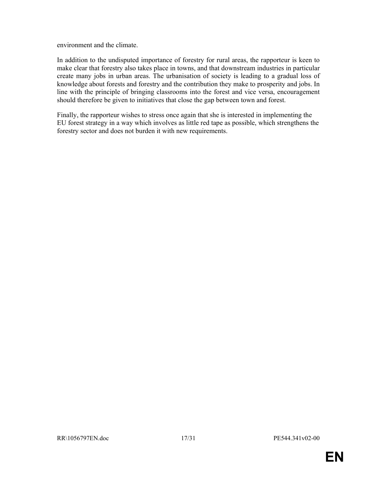environment and the climate.

In addition to the undisputed importance of forestry for rural areas, the rapporteur is keen to make clear that forestry also takes place in towns, and that downstream industries in particular create many jobs in urban areas. The urbanisation of society is leading to a gradual loss of knowledge about forests and forestry and the contribution they make to prosperity and jobs. In line with the principle of bringing classrooms into the forest and vice versa, encouragement should therefore be given to initiatives that close the gap between town and forest.

Finally, the rapporteur wishes to stress once again that she is interested in implementing the EU forest strategy in a way which involves as little red tape as possible, which strengthens the forestry sector and does not burden it with new requirements.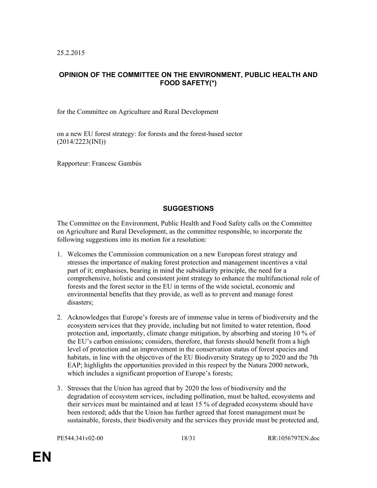25.2.2015

# OPINION OF THE COMMITTEE ON THE ENVIRONMENT, PUBLIC HEALTH AND FOOD SAFETY(\*)

for the Committee on Agriculture and Rural Development

on a new EU forest strategy: for forests and the forest-based sector (2014/2223(INI))

Rapporteur: Francesc Gambús

## **SUGGESTIONS**

The Committee on the Environment, Public Health and Food Safety calls on the Committee on Agriculture and Rural Development, as the committee responsible, to incorporate the following suggestions into its motion for a resolution:

- 1. Welcomes the Commission communication on a new European forest strategy and stresses the importance of making forest protection and management incentives a vital part of it; emphasises, bearing in mind the subsidiarity principle, the need for a comprehensive, holistic and consistent joint strategy to enhance the multifunctional role of forests and the forest sector in the EU in terms of the wide societal, economic and environmental benefits that they provide, as well as to prevent and manage forest disasters;
- 2. Acknowledges that Europe's forests are of immense value in terms of biodiversity and the ecosystem services that they provide, including but not limited to water retention, flood protection and, importantly, climate change mitigation, by absorbing and storing 10 % of the EU's carbon emissions; considers, therefore, that forests should benefit from a high level of protection and an improvement in the conservation status of forest species and habitats, in line with the objectives of the EU Biodiversity Strategy up to 2020 and the 7th EAP; highlights the opportunities provided in this respect by the Natura 2000 network, which includes a significant proportion of Europe's forests;
- 3. Stresses that the Union has agreed that by 2020 the loss of biodiversity and the degradation of ecosystem services, including pollination, must be halted, ecosystems and their services must be maintained and at least 15 % of degraded ecosystems should have been restored; adds that the Union has further agreed that forest management must be sustainable, forests, their biodiversity and the services they provide must be protected and,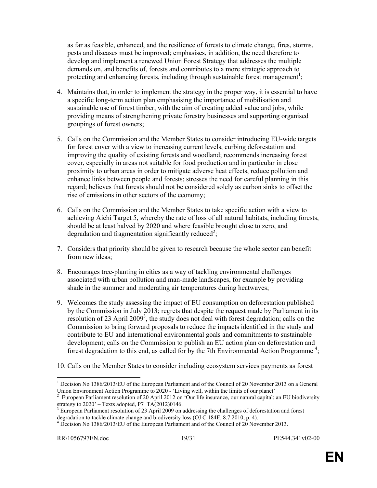as far as feasible, enhanced, and the resilience of forests to climate change, fires, storms, pests and diseases must be improved; emphasises, in addition, the need therefore to develop and implement a renewed Union Forest Strategy that addresses the multiple demands on, and benefits of, forests and contributes to a more strategic approach to protecting and enhancing forests, including through sustainable forest management<sup>1</sup>;

- 4. Maintains that, in order to implement the strategy in the proper way, it is essential to have a specific long-term action plan emphasising the importance of mobilisation and sustainable use of forest timber, with the aim of creating added value and jobs, while providing means of strengthening private forestry businesses and supporting organised groupings of forest owners;
- 5. Calls on the Commission and the Member States to consider introducing EU-wide targets for forest cover with a view to increasing current levels, curbing deforestation and improving the quality of existing forests and woodland; recommends increasing forest cover, especially in areas not suitable for food production and in particular in close proximity to urban areas in order to mitigate adverse heat effects, reduce pollution and enhance links between people and forests; stresses the need for careful planning in this regard; believes that forests should not be considered solely as carbon sinks to offset the rise of emissions in other sectors of the economy;
- 6. Calls on the Commission and the Member States to take specific action with a view to achieving Aichi Target 5, whereby the rate of loss of all natural habitats, including forests, should be at least halved by 2020 and where feasible brought close to zero, and degradation and fragmentation significantly reduced<sup>2</sup>;
- 7. Considers that priority should be given to research because the whole sector can benefit from new ideas;
- 8. Encourages tree-planting in cities as a way of tackling environmental challenges associated with urban pollution and man-made landscapes, for example by providing shade in the summer and moderating air temperatures during heatwaves;
- 9. Welcomes the study assessing the impact of EU consumption on deforestation published by the Commission in July 2013; regrets that despite the request made by Parliament in its resolution of 23 April 2009<sup>3</sup>, the study does not deal with forest degradation; calls on the Commission to bring forward proposals to reduce the impacts identified in the study and contribute to EU and international environmental goals and commitments to sustainable development; calls on the Commission to publish an EU action plan on deforestation and forest degradation to this end, as called for by the 7th Environmental Action Programme<sup>4</sup>;
- 10. Calls on the Member States to consider including ecosystem services payments as forest

 $\ddot{\phantom{a}}$ <sup>1</sup> Decision No 1386/2013/EU of the European Parliament and of the Council of 20 November 2013 on a General Union Environment Action Programme to 2020 - 'Living well, within the limits of our planet'

<sup>2</sup> European Parliament resolution of 20 April 2012 on 'Our life insurance, our natural capital: an EU biodiversity strategy to  $2020'$  – Texts adopted, P7\_TA(2012)0146.

 $3$  European Parliament resolution of 23 April 2009 on addressing the challenges of deforestation and forest degradation to tackle climate change and biodiversity loss (OJ C 184E, 8.7.2010, p. 4).

<sup>&</sup>lt;sup>4</sup> Decision No 1386/2013/EU of the European Parliament and of the Council of 20 November 2013.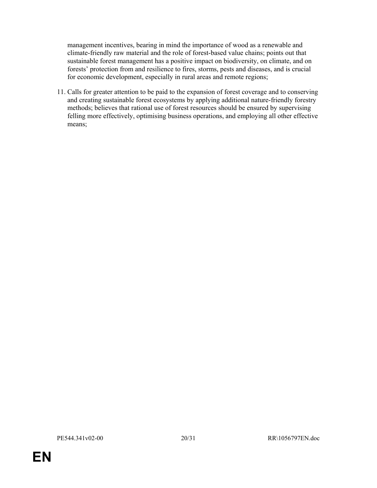management incentives, bearing in mind the importance of wood as a renewable and climate-friendly raw material and the role of forest-based value chains; points out that sustainable forest management has a positive impact on biodiversity, on climate, and on forests' protection from and resilience to fires, storms, pests and diseases, and is crucial for economic development, especially in rural areas and remote regions;

11. Calls for greater attention to be paid to the expansion of forest coverage and to conserving and creating sustainable forest ecosystems by applying additional nature-friendly forestry methods; believes that rational use of forest resources should be ensured by supervising felling more effectively, optimising business operations, and employing all other effective means;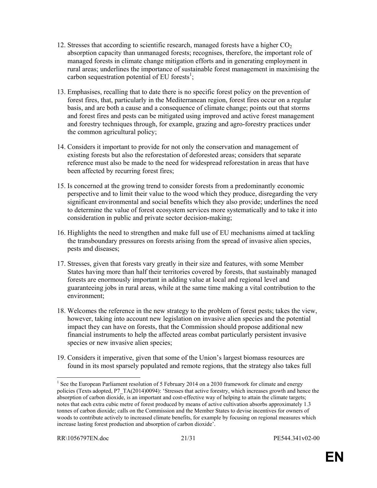- 12. Stresses that according to scientific research, managed forests have a higher  $CO<sub>2</sub>$ absorption capacity than unmanaged forests; recognises, therefore, the important role of managed forests in climate change mitigation efforts and in generating employment in rural areas; underlines the importance of sustainable forest management in maximising the carbon sequestration potential of EU forests<sup>1</sup>;
- 13. Emphasises, recalling that to date there is no specific forest policy on the prevention of forest fires, that, particularly in the Mediterranean region, forest fires occur on a regular basis, and are both a cause and a consequence of climate change; points out that storms and forest fires and pests can be mitigated using improved and active forest management and forestry techniques through, for example, grazing and agro-forestry practices under the common agricultural policy;
- 14. Considers it important to provide for not only the conservation and management of existing forests but also the reforestation of deforested areas; considers that separate reference must also be made to the need for widespread reforestation in areas that have been affected by recurring forest fires;
- 15. Is concerned at the growing trend to consider forests from a predominantly economic perspective and to limit their value to the wood which they produce, disregarding the very significant environmental and social benefits which they also provide; underlines the need to determine the value of forest ecosystem services more systematically and to take it into consideration in public and private sector decision-making;
- 16. Highlights the need to strengthen and make full use of EU mechanisms aimed at tackling the transboundary pressures on forests arising from the spread of invasive alien species, pests and diseases;
- 17. Stresses, given that forests vary greatly in their size and features, with some Member States having more than half their territories covered by forests, that sustainably managed forests are enormously important in adding value at local and regional level and guaranteeing jobs in rural areas, while at the same time making a vital contribution to the environment;
- 18. Welcomes the reference in the new strategy to the problem of forest pests; takes the view, however, taking into account new legislation on invasive alien species and the potential impact they can have on forests, that the Commission should propose additional new financial instruments to help the affected areas combat particularly persistent invasive species or new invasive alien species;
- 19. Considers it imperative, given that some of the Union's largest biomass resources are found in its most sparsely populated and remote regions, that the strategy also takes full

 $\ddot{\phantom{a}}$ <sup>1</sup> See the European Parliament resolution of 5 February 2014 on a 2030 framework for climate and energy policies (Texts adopted, P7\_TA(2014)0094): 'Stresses that active forestry, which increases growth and hence the absorption of carbon dioxide, is an important and cost-effective way of helping to attain the climate targets; notes that each extra cubic metre of forest produced by means of active cultivation absorbs approximately 1.3 tonnes of carbon dioxide; calls on the Commission and the Member States to devise incentives for owners of woods to contribute actively to increased climate benefits, for example by focusing on regional measures which increase lasting forest production and absorption of carbon dioxide'.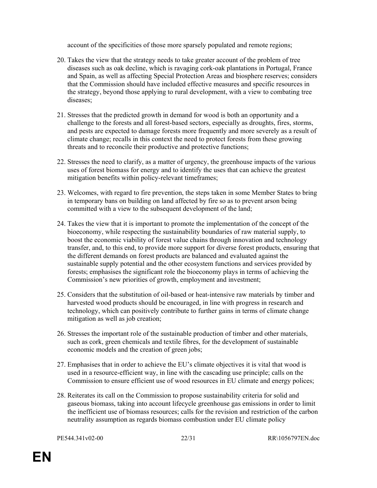account of the specificities of those more sparsely populated and remote regions;

- 20. Takes the view that the strategy needs to take greater account of the problem of tree diseases such as oak decline, which is ravaging cork-oak plantations in Portugal, France and Spain, as well as affecting Special Protection Areas and biosphere reserves; considers that the Commission should have included effective measures and specific resources in the strategy, beyond those applying to rural development, with a view to combating tree diseases;
- 21. Stresses that the predicted growth in demand for wood is both an opportunity and a challenge to the forests and all forest-based sectors, especially as droughts, fires, storms, and pests are expected to damage forests more frequently and more severely as a result of climate change; recalls in this context the need to protect forests from these growing threats and to reconcile their productive and protective functions;
- 22. Stresses the need to clarify, as a matter of urgency, the greenhouse impacts of the various uses of forest biomass for energy and to identify the uses that can achieve the greatest mitigation benefits within policy-relevant timeframes;
- 23. Welcomes, with regard to fire prevention, the steps taken in some Member States to bring in temporary bans on building on land affected by fire so as to prevent arson being committed with a view to the subsequent development of the land;
- 24. Takes the view that it is important to promote the implementation of the concept of the bioeconomy, while respecting the sustainability boundaries of raw material supply, to boost the economic viability of forest value chains through innovation and technology transfer, and, to this end, to provide more support for diverse forest products, ensuring that the different demands on forest products are balanced and evaluated against the sustainable supply potential and the other ecosystem functions and services provided by forests; emphasises the significant role the bioeconomy plays in terms of achieving the Commission's new priorities of growth, employment and investment;
- 25. Considers that the substitution of oil-based or heat-intensive raw materials by timber and harvested wood products should be encouraged, in line with progress in research and technology, which can positively contribute to further gains in terms of climate change mitigation as well as job creation;
- 26. Stresses the important role of the sustainable production of timber and other materials, such as cork, green chemicals and textile fibres, for the development of sustainable economic models and the creation of green jobs;
- 27. Emphasises that in order to achieve the EU's climate objectives it is vital that wood is used in a resource-efficient way, in line with the cascading use principle; calls on the Commission to ensure efficient use of wood resources in EU climate and energy polices;
- 28. Reiterates its call on the Commission to propose sustainability criteria for solid and gaseous biomass, taking into account lifecycle greenhouse gas emissions in order to limit the inefficient use of biomass resources; calls for the revision and restriction of the carbon neutrality assumption as regards biomass combustion under EU climate policy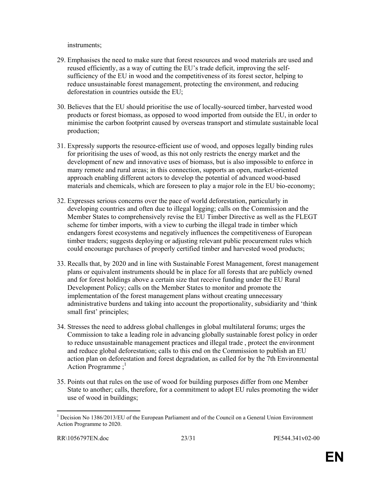instruments;

- 29. Emphasises the need to make sure that forest resources and wood materials are used and reused efficiently, as a way of cutting the EU's trade deficit, improving the selfsufficiency of the EU in wood and the competitiveness of its forest sector, helping to reduce unsustainable forest management, protecting the environment, and reducing deforestation in countries outside the EU;
- 30. Believes that the EU should prioritise the use of locally-sourced timber, harvested wood products or forest biomass, as opposed to wood imported from outside the EU, in order to minimise the carbon footprint caused by overseas transport and stimulate sustainable local production;
- 31. Expressly supports the resource-efficient use of wood, and opposes legally binding rules for prioritising the uses of wood, as this not only restricts the energy market and the development of new and innovative uses of biomass, but is also impossible to enforce in many remote and rural areas; in this connection, supports an open, market-oriented approach enabling different actors to develop the potential of advanced wood-based materials and chemicals, which are foreseen to play a major role in the EU bio-economy;
- 32. Expresses serious concerns over the pace of world deforestation, particularly in developing countries and often due to illegal logging; calls on the Commission and the Member States to comprehensively revise the EU Timber Directive as well as the FLEGT scheme for timber imports, with a view to curbing the illegal trade in timber which endangers forest ecosystems and negatively influences the competitiveness of European timber traders; suggests deploying or adjusting relevant public procurement rules which could encourage purchases of properly certified timber and harvested wood products;
- 33. Recalls that, by 2020 and in line with Sustainable Forest Management, forest management plans or equivalent instruments should be in place for all forests that are publicly owned and for forest holdings above a certain size that receive funding under the EU Rural Development Policy; calls on the Member States to monitor and promote the implementation of the forest management plans without creating unnecessary administrative burdens and taking into account the proportionality, subsidiarity and 'think small first' principles;
- 34. Stresses the need to address global challenges in global multilateral forums; urges the Commission to take a leading role in advancing globally sustainable forest policy in order to reduce unsustainable management practices and illegal trade , protect the environment and reduce global deforestation; calls to this end on the Commission to publish an EU action plan on deforestation and forest degradation, as called for by the 7th Environmental Action Programme  $:$ <sup>1</sup>
- 35. Points out that rules on the use of wood for building purposes differ from one Member State to another; calls, therefore, for a commitment to adopt EU rules promoting the wider use of wood in buildings;

 $\ddot{\phantom{a}}$ <sup>1</sup> Decision No 1386/2013/EU of the European Parliament and of the Council on a General Union Environment Action Programme to 2020.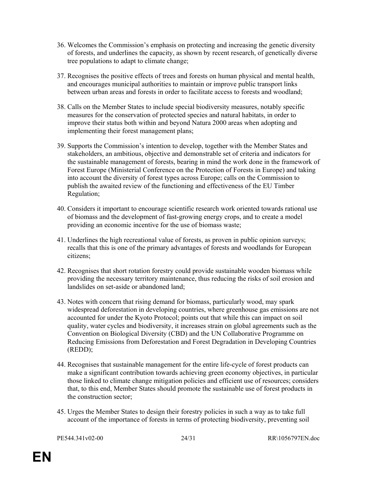- 36. Welcomes the Commission's emphasis on protecting and increasing the genetic diversity of forests, and underlines the capacity, as shown by recent research, of genetically diverse tree populations to adapt to climate change;
- 37. Recognises the positive effects of trees and forests on human physical and mental health, and encourages municipal authorities to maintain or improve public transport links between urban areas and forests in order to facilitate access to forests and woodland;
- 38. Calls on the Member States to include special biodiversity measures, notably specific measures for the conservation of protected species and natural habitats, in order to improve their status both within and beyond Natura 2000 areas when adopting and implementing their forest management plans;
- 39. Supports the Commission's intention to develop, together with the Member States and stakeholders, an ambitious, objective and demonstrable set of criteria and indicators for the sustainable management of forests, bearing in mind the work done in the framework of Forest Europe (Ministerial Conference on the Protection of Forests in Europe) and taking into account the diversity of forest types across Europe; calls on the Commission to publish the awaited review of the functioning and effectiveness of the EU Timber Regulation;
- 40. Considers it important to encourage scientific research work oriented towards rational use of biomass and the development of fast-growing energy crops, and to create a model providing an economic incentive for the use of biomass waste;
- 41. Underlines the high recreational value of forests, as proven in public opinion surveys; recalls that this is one of the primary advantages of forests and woodlands for European citizens;
- 42. Recognises that short rotation forestry could provide sustainable wooden biomass while providing the necessary territory maintenance, thus reducing the risks of soil erosion and landslides on set-aside or abandoned land;
- 43. Notes with concern that rising demand for biomass, particularly wood, may spark widespread deforestation in developing countries, where greenhouse gas emissions are not accounted for under the Kyoto Protocol; points out that while this can impact on soil quality, water cycles and biodiversity, it increases strain on global agreements such as the Convention on Biological Diversity (CBD) and the UN Collaborative Programme on Reducing Emissions from Deforestation and Forest Degradation in Developing Countries (REDD);
- 44. Recognises that sustainable management for the entire life-cycle of forest products can make a significant contribution towards achieving green economy objectives, in particular those linked to climate change mitigation policies and efficient use of resources; considers that, to this end, Member States should promote the sustainable use of forest products in the construction sector;
- 45. Urges the Member States to design their forestry policies in such a way as to take full account of the importance of forests in terms of protecting biodiversity, preventing soil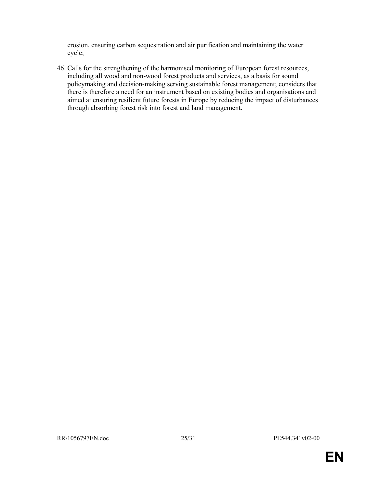erosion, ensuring carbon sequestration and air purification and maintaining the water cycle;

46. Calls for the strengthening of the harmonised monitoring of European forest resources, including all wood and non-wood forest products and services, as a basis for sound policymaking and decision-making serving sustainable forest management; considers that there is therefore a need for an instrument based on existing bodies and organisations and aimed at ensuring resilient future forests in Europe by reducing the impact of disturbances through absorbing forest risk into forest and land management.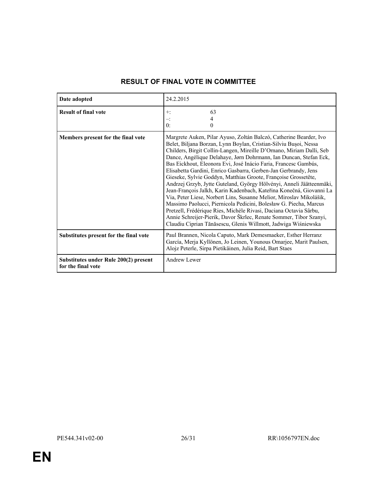| Date adopted                                                | 24.2.2015                                                                                                                                                                                                                                                                                                                                                                                                                                                                                                                                                                                                                                                                                                                                                                                                                                                                                                                                                                                           |
|-------------------------------------------------------------|-----------------------------------------------------------------------------------------------------------------------------------------------------------------------------------------------------------------------------------------------------------------------------------------------------------------------------------------------------------------------------------------------------------------------------------------------------------------------------------------------------------------------------------------------------------------------------------------------------------------------------------------------------------------------------------------------------------------------------------------------------------------------------------------------------------------------------------------------------------------------------------------------------------------------------------------------------------------------------------------------------|
| <b>Result of final vote</b>                                 | 63<br>$+$ :<br>Ξ.<br>0:<br>$\Omega$                                                                                                                                                                                                                                                                                                                                                                                                                                                                                                                                                                                                                                                                                                                                                                                                                                                                                                                                                                 |
| Members present for the final vote                          | Margrete Auken, Pilar Ayuso, Zoltán Balczó, Catherine Bearder, Ivo<br>Belet, Biljana Borzan, Lynn Boylan, Cristian-Silviu Bușoi, Nessa<br>Childers, Birgit Collin-Langen, Mireille D'Ornano, Miriam Dalli, Seb<br>Dance, Angélique Delahaye, Jørn Dohrmann, Ian Duncan, Stefan Eck,<br>Bas Eickhout, Eleonora Evi, José Inácio Faria, Francesc Gambús,<br>Elisabetta Gardini, Enrico Gasbarra, Gerben-Jan Gerbrandy, Jens<br>Gieseke, Sylvie Goddyn, Matthias Groote, Françoise Grossetête,<br>Andrzej Grzyb, Jytte Guteland, György Hölvényi, Anneli Jäätteenmäki,<br>Jean-François Jalkh, Karin Kadenbach, Kateřina Konečná, Giovanni La<br>Via, Peter Liese, Norbert Lins, Susanne Melior, Miroslav Mikolášik,<br>Massimo Paolucci, Piernicola Pedicini, Bolesław G. Piecha, Marcus<br>Pretzell, Frédérique Ries, Michèle Rivasi, Daciana Octavia Sârbu,<br>Annie Schreijer-Pierik, Davor Škrlec, Renate Sommer, Tibor Szanyi,<br>Claudiu Ciprian Tănăsescu, Glenis Willmott, Jadwiga Wiśniewska |
| Substitutes present for the final vote                      | Paul Brannen, Nicola Caputo, Mark Demesmaeker, Esther Herranz<br>García, Merja Kyllönen, Jo Leinen, Younous Omarjee, Marit Paulsen,<br>Alojz Peterle, Sirpa Pietikäinen, Julia Reid, Bart Staes                                                                                                                                                                                                                                                                                                                                                                                                                                                                                                                                                                                                                                                                                                                                                                                                     |
| Substitutes under Rule 200(2) present<br>for the final vote | <b>Andrew Lewer</b>                                                                                                                                                                                                                                                                                                                                                                                                                                                                                                                                                                                                                                                                                                                                                                                                                                                                                                                                                                                 |

# RESULT OF FINAL VOTE IN COMMITTEE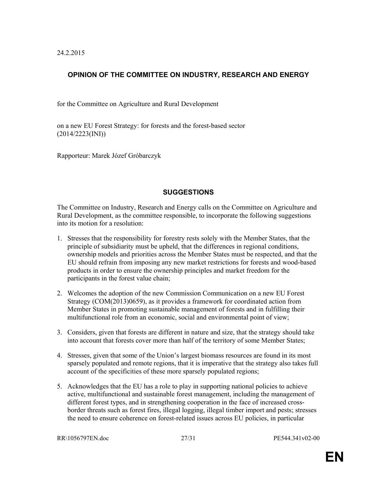24.2.2015

# OPINION OF THE COMMITTEE ON INDUSTRY, RESEARCH AND ENERGY

for the Committee on Agriculture and Rural Development

on a new EU Forest Strategy: for forests and the forest-based sector (2014/2223(INI))

Rapporteur: Marek Józef Gróbarczyk

## **SUGGESTIONS**

The Committee on Industry, Research and Energy calls on the Committee on Agriculture and Rural Development, as the committee responsible, to incorporate the following suggestions into its motion for a resolution:

- 1. Stresses that the responsibility for forestry rests solely with the Member States, that the principle of subsidiarity must be upheld, that the differences in regional conditions, ownership models and priorities across the Member States must be respected, and that the EU should refrain from imposing any new market restrictions for forests and wood-based products in order to ensure the ownership principles and market freedom for the participants in the forest value chain;
- 2. Welcomes the adoption of the new Commission Communication on a new EU Forest Strategy (COM(2013)0659), as it provides a framework for coordinated action from Member States in promoting sustainable management of forests and in fulfilling their multifunctional role from an economic, social and environmental point of view;
- 3. Considers, given that forests are different in nature and size, that the strategy should take into account that forests cover more than half of the territory of some Member States;
- 4. Stresses, given that some of the Union's largest biomass resources are found in its most sparsely populated and remote regions, that it is imperative that the strategy also takes full account of the specificities of these more sparsely populated regions;
- 5. Acknowledges that the EU has a role to play in supporting national policies to achieve active, multifunctional and sustainable forest management, including the management of different forest types, and in strengthening cooperation in the face of increased crossborder threats such as forest fires, illegal logging, illegal timber import and pests; stresses the need to ensure coherence on forest-related issues across EU policies, in particular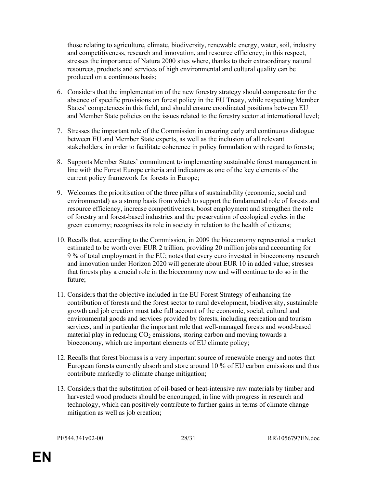those relating to agriculture, climate, biodiversity, renewable energy, water, soil, industry and competitiveness, research and innovation, and resource efficiency; in this respect, stresses the importance of Natura 2000 sites where, thanks to their extraordinary natural resources, products and services of high environmental and cultural quality can be produced on a continuous basis;

- 6. Considers that the implementation of the new forestry strategy should compensate for the absence of specific provisions on forest policy in the EU Treaty, while respecting Member States' competences in this field, and should ensure coordinated positions between EU and Member State policies on the issues related to the forestry sector at international level;
- 7. Stresses the important role of the Commission in ensuring early and continuous dialogue between EU and Member State experts, as well as the inclusion of all relevant stakeholders, in order to facilitate coherence in policy formulation with regard to forests;
- 8. Supports Member States' commitment to implementing sustainable forest management in line with the Forest Europe criteria and indicators as one of the key elements of the current policy framework for forests in Europe;
- 9. Welcomes the prioritisation of the three pillars of sustainability (economic, social and environmental) as a strong basis from which to support the fundamental role of forests and resource efficiency, increase competitiveness, boost employment and strengthen the role of forestry and forest-based industries and the preservation of ecological cycles in the green economy; recognises its role in society in relation to the health of citizens;
- 10. Recalls that, according to the Commission, in 2009 the bioeconomy represented a market estimated to be worth over EUR 2 trillion, providing 20 million jobs and accounting for 9 % of total employment in the EU; notes that every euro invested in bioeconomy research and innovation under Horizon 2020 will generate about EUR 10 in added value; stresses that forests play a crucial role in the bioeconomy now and will continue to do so in the future;
- 11. Considers that the objective included in the EU Forest Strategy of enhancing the contribution of forests and the forest sector to rural development, biodiversity, sustainable growth and job creation must take full account of the economic, social, cultural and environmental goods and services provided by forests, including recreation and tourism services, and in particular the important role that well-managed forests and wood-based material play in reducing  $CO<sub>2</sub>$  emissions, storing carbon and moving towards a bioeconomy, which are important elements of EU climate policy;
- 12. Recalls that forest biomass is a very important source of renewable energy and notes that European forests currently absorb and store around 10 % of EU carbon emissions and thus contribute markedly to climate change mitigation;
- 13. Considers that the substitution of oil-based or heat-intensive raw materials by timber and harvested wood products should be encouraged, in line with progress in research and technology, which can positively contribute to further gains in terms of climate change mitigation as well as job creation;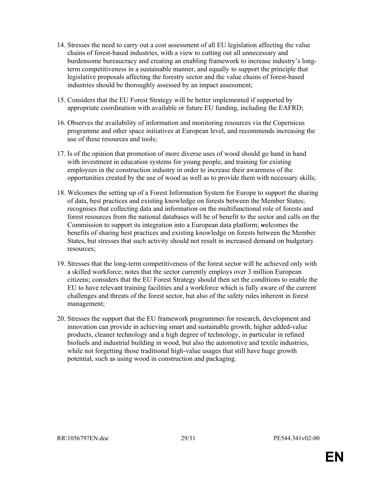- 14. Stresses the need to carry out a cost assessment of all EU legislation affecting the value chains of forest-based industries, with a view to cutting out all unnecessary and burdensome bureaucracy and creating an enabling framework to increase industry's longterm competitiveness in a sustainable manner, and equally to support the principle that legislative proposals affecting the forestry sector and the value chains of forest-based industries should be thoroughly assessed by an impact assessment;
- 15. Considers that the EU Forest Strategy will be better implemented if supported by appropriate coordination with available or future EU funding, including the EAFRD;
- 16. Observes the availability of information and monitoring resources via the Copernicus programme and other space initiatives at European level, and recommends increasing the use of these resources and tools;
- 17. Is of the opinion that promotion of more diverse uses of wood should go hand in hand with investment in education systems for young people, and training for existing employees in the construction industry in order to increase their awareness of the opportunities created by the use of wood as well as to provide them with necessary skills;
- 18. Welcomes the setting up of a Forest Information System for Europe to support the sharing of data, best practices and existing knowledge on forests between the Member States; recognises that collecting data and information on the multifunctional role of forests and forest resources from the national databases will be of benefit to the sector and calls on the Commission to support its integration into a European data platform; welcomes the benefits of sharing best practices and existing knowledge on forests between the Member States, but stresses that such activity should not result in increased demand on budgetary resources;
- 19. Stresses that the long-term competitiveness of the forest sector will be achieved only with a skilled workforce; notes that the sector currently employs over 3 million European citizens; considers that the EU Forest Strategy should then set the conditions to enable the EU to have relevant training facilities and a workforce which is fully aware of the current challenges and threats of the forest sector, but also of the safety rules inherent in forest management;
- 20. Stresses the support that the EU framework programmes for research, development and innovation can provide in achieving smart and sustainable growth, higher added-value products, cleaner technology and a high degree of technology, in particular in refined biofuels and industrial building in wood, but also the automotive and textile industries, while not forgetting those traditional high-value usages that still have huge growth potential, such as using wood in construction and packaging.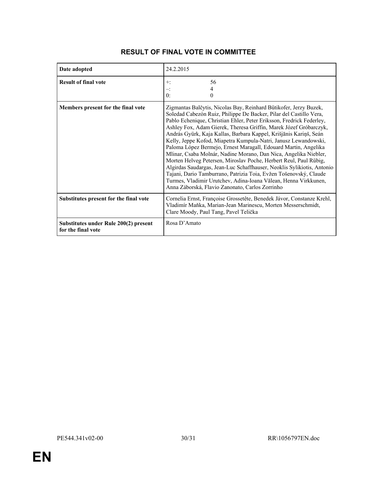| Date adopted                                                | 24.2.2015                                                                                                                                                                                                                                                                                                                                                                                                                                                                                                                                                                                                                                                                                                                                                                                                                                                                                                     |
|-------------------------------------------------------------|---------------------------------------------------------------------------------------------------------------------------------------------------------------------------------------------------------------------------------------------------------------------------------------------------------------------------------------------------------------------------------------------------------------------------------------------------------------------------------------------------------------------------------------------------------------------------------------------------------------------------------------------------------------------------------------------------------------------------------------------------------------------------------------------------------------------------------------------------------------------------------------------------------------|
| <b>Result of final vote</b>                                 | 56<br>$+$ :<br>4<br>$-$<br>0:<br>$\theta$                                                                                                                                                                                                                                                                                                                                                                                                                                                                                                                                                                                                                                                                                                                                                                                                                                                                     |
| Members present for the final vote                          | Zigmantas Balčytis, Nicolas Bay, Reinhard Bütikofer, Jerzy Buzek,<br>Soledad Cabezón Ruiz, Philippe De Backer, Pilar del Castillo Vera,<br>Pablo Echenique, Christian Ehler, Peter Eriksson, Fredrick Federley,<br>Ashley Fox, Adam Gierek, Theresa Griffin, Marek Józef Gróbarczyk,<br>András Gyürk, Kaja Kallas, Barbara Kappel, Krišjānis Kariņš, Seán<br>Kelly, Jeppe Kofod, Miapetra Kumpula-Natri, Janusz Lewandowski,<br>Paloma López Bermejo, Ernest Maragall, Edouard Martin, Angelika<br>Mlinar, Csaba Molnár, Nadine Morano, Dan Nica, Angelika Niebler,<br>Morten Helveg Petersen, Miroslav Poche, Herbert Reul, Paul Rübig,<br>Algirdas Saudargas, Jean-Luc Schaffhauser, Neoklis Sylikiotis, Antonio<br>Tajani, Dario Tamburrano, Patrizia Toia, Evžen Tošenovský, Claude<br>Turmes, Vladimir Urutchev, Adina-Ioana Vălean, Henna Virkkunen,<br>Anna Záborská, Flavio Zanonato, Carlos Zorrinho |
| Substitutes present for the final vote                      | Cornelia Ernst, Françoise Grossetête, Benedek Jávor, Constanze Krehl,<br>Vladimír Maňka, Marian-Jean Marinescu, Morten Messerschmidt,<br>Clare Moody, Paul Tang, Pavel Telička                                                                                                                                                                                                                                                                                                                                                                                                                                                                                                                                                                                                                                                                                                                                |
| Substitutes under Rule 200(2) present<br>for the final vote | Rosa D'Amato                                                                                                                                                                                                                                                                                                                                                                                                                                                                                                                                                                                                                                                                                                                                                                                                                                                                                                  |

# RESULT OF FINAL VOTE IN COMMITTEE